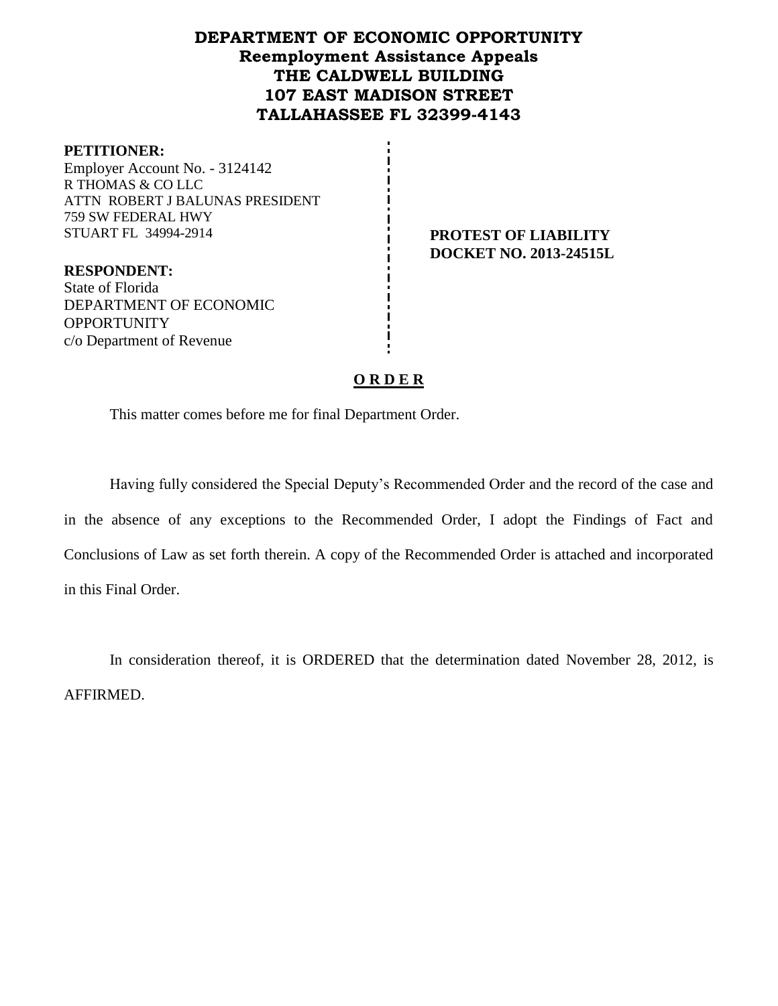# **DEPARTMENT OF ECONOMIC OPPORTUNITY Reemployment Assistance Appeals THE CALDWELL BUILDING 107 EAST MADISON STREET TALLAHASSEE FL 32399-4143**

### **PETITIONER:**

Employer Account No. - 3124142 R THOMAS & CO LLC ATTN ROBERT J BALUNAS PRESIDENT 759 SW FEDERAL HWY STUART FL 34994-2914 **PROTEST OF LIABILITY**

**DOCKET NO. 2013-24515L**

**RESPONDENT:** State of Florida DEPARTMENT OF ECONOMIC **OPPORTUNITY** c/o Department of Revenue

## **O R D E R**

This matter comes before me for final Department Order.

Having fully considered the Special Deputy's Recommended Order and the record of the case and in the absence of any exceptions to the Recommended Order, I adopt the Findings of Fact and Conclusions of Law as set forth therein. A copy of the Recommended Order is attached and incorporated in this Final Order.

In consideration thereof, it is ORDERED that the determination dated November 28, 2012, is AFFIRMED.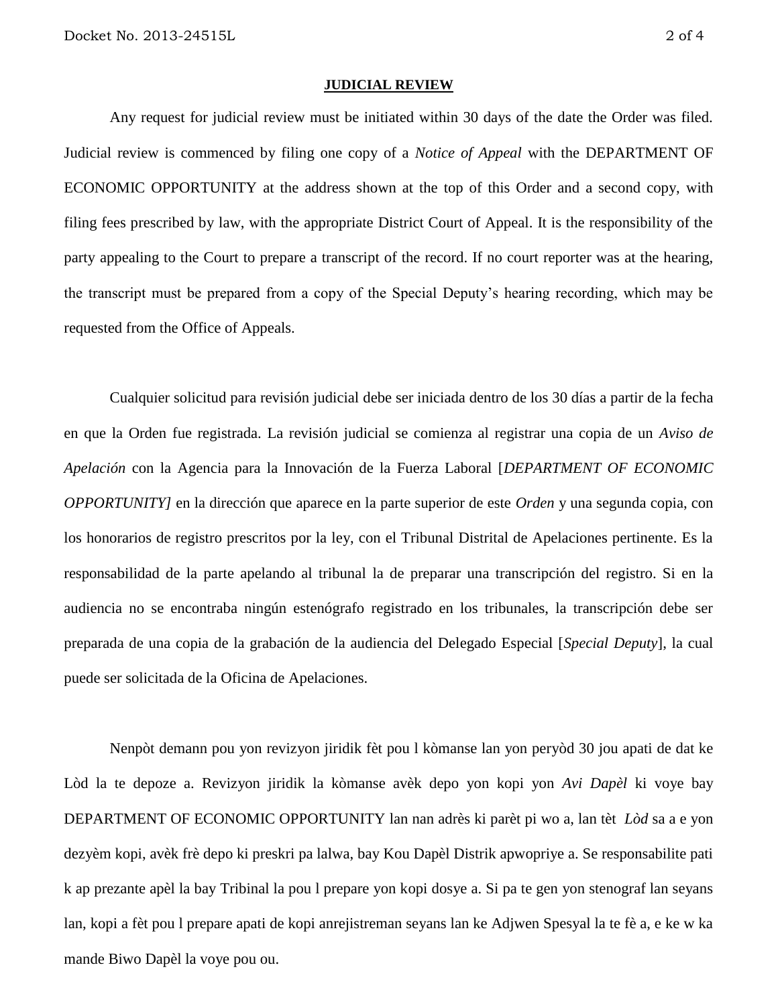#### **JUDICIAL REVIEW**

Any request for judicial review must be initiated within 30 days of the date the Order was filed. Judicial review is commenced by filing one copy of a *Notice of Appeal* with the DEPARTMENT OF ECONOMIC OPPORTUNITY at the address shown at the top of this Order and a second copy, with filing fees prescribed by law, with the appropriate District Court of Appeal. It is the responsibility of the party appealing to the Court to prepare a transcript of the record. If no court reporter was at the hearing, the transcript must be prepared from a copy of the Special Deputy's hearing recording, which may be requested from the Office of Appeals.

Cualquier solicitud para revisión judicial debe ser iniciada dentro de los 30 días a partir de la fecha en que la Orden fue registrada. La revisión judicial se comienza al registrar una copia de un *Aviso de Apelación* con la Agencia para la Innovación de la Fuerza Laboral [*DEPARTMENT OF ECONOMIC OPPORTUNITY]* en la dirección que aparece en la parte superior de este *Orden* y una segunda copia, con los honorarios de registro prescritos por la ley, con el Tribunal Distrital de Apelaciones pertinente. Es la responsabilidad de la parte apelando al tribunal la de preparar una transcripción del registro. Si en la audiencia no se encontraba ningún estenógrafo registrado en los tribunales, la transcripción debe ser preparada de una copia de la grabación de la audiencia del Delegado Especial [*Special Deputy*], la cual puede ser solicitada de la Oficina de Apelaciones.

Nenpòt demann pou yon revizyon jiridik fèt pou l kòmanse lan yon peryòd 30 jou apati de dat ke Lòd la te depoze a. Revizyon jiridik la kòmanse avèk depo yon kopi yon *Avi Dapèl* ki voye bay DEPARTMENT OF ECONOMIC OPPORTUNITY lan nan adrès ki parèt pi wo a, lan tèt *Lòd* sa a e yon dezyèm kopi, avèk frè depo ki preskri pa lalwa, bay Kou Dapèl Distrik apwopriye a. Se responsabilite pati k ap prezante apèl la bay Tribinal la pou l prepare yon kopi dosye a. Si pa te gen yon stenograf lan seyans lan, kopi a fèt pou l prepare apati de kopi anrejistreman seyans lan ke Adjwen Spesyal la te fè a, e ke w ka mande Biwo Dapèl la voye pou ou.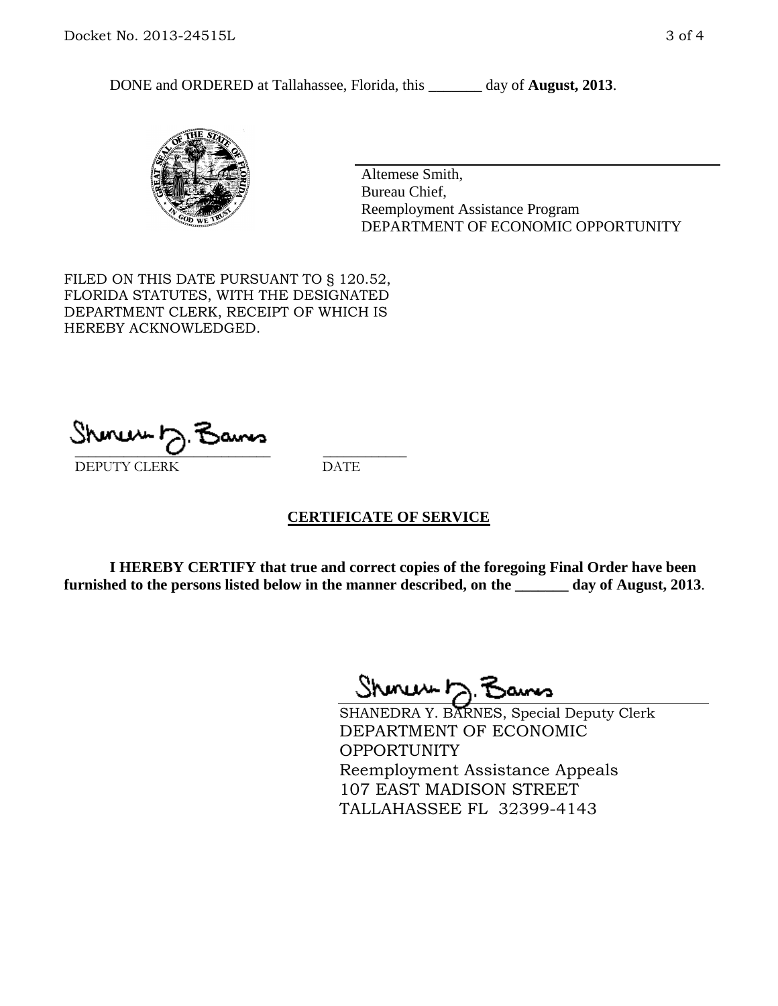DONE and ORDERED at Tallahassee, Florida, this \_\_\_\_\_\_\_ day of **August, 2013**.



Altemese Smith, Bureau Chief, Reemployment Assistance Program DEPARTMENT OF ECONOMIC OPPORTUNITY

FILED ON THIS DATE PURSUANT TO § 120.52, FLORIDA STATUTES, WITH THE DESIGNATED DEPARTMENT CLERK, RECEIPT OF WHICH IS HEREBY ACKNOWLEDGED.

 $\overline{\phantom{a}}$  ,  $\overline{\phantom{a}}$  ,  $\overline{\phantom{a}}$  ,  $\overline{\phantom{a}}$  ,  $\overline{\phantom{a}}$  ,  $\overline{\phantom{a}}$  ,  $\overline{\phantom{a}}$  ,  $\overline{\phantom{a}}$ DEPUTY CLERK DATE

## **CERTIFICATE OF SERVICE**

**I HEREBY CERTIFY that true and correct copies of the foregoing Final Order have been furnished to the persons listed below in the manner described, on the \_\_\_\_\_\_\_ day of August, 2013**.

Shenux D.F

SHANEDRA Y. BARNES, Special Deputy Clerk DEPARTMENT OF ECONOMIC **OPPORTUNITY** Reemployment Assistance Appeals 107 EAST MADISON STREET TALLAHASSEE FL 32399-4143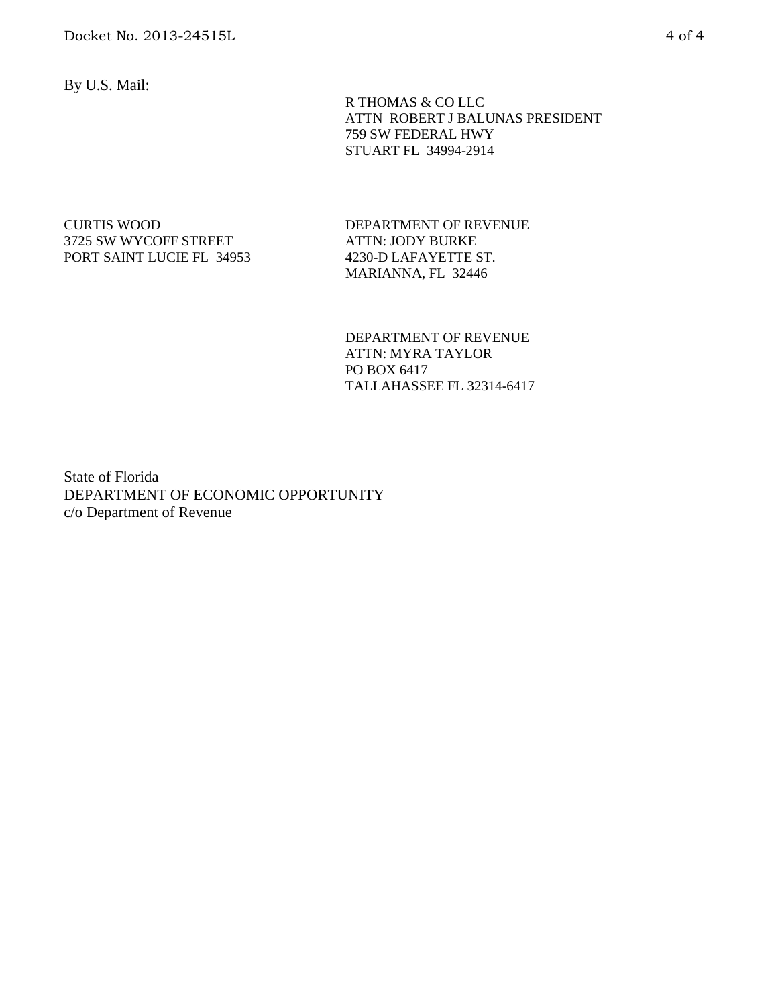By U.S. Mail:

 R THOMAS & CO LLC ATTN ROBERT J BALUNAS PRESIDENT 759 SW FEDERAL HWY STUART FL 34994-2914

CURTIS WOOD 3725 SW WYCOFF STREET PORT SAINT LUCIE FL 34953 DEPARTMENT OF REVENUE ATTN: JODY BURKE 4230-D LAFAYETTE ST. MARIANNA, FL 32446

DEPARTMENT OF REVENUE ATTN: MYRA TAYLOR PO BOX 6417 TALLAHASSEE FL 32314-6417

State of Florida DEPARTMENT OF ECONOMIC OPPORTUNITY c/o Department of Revenue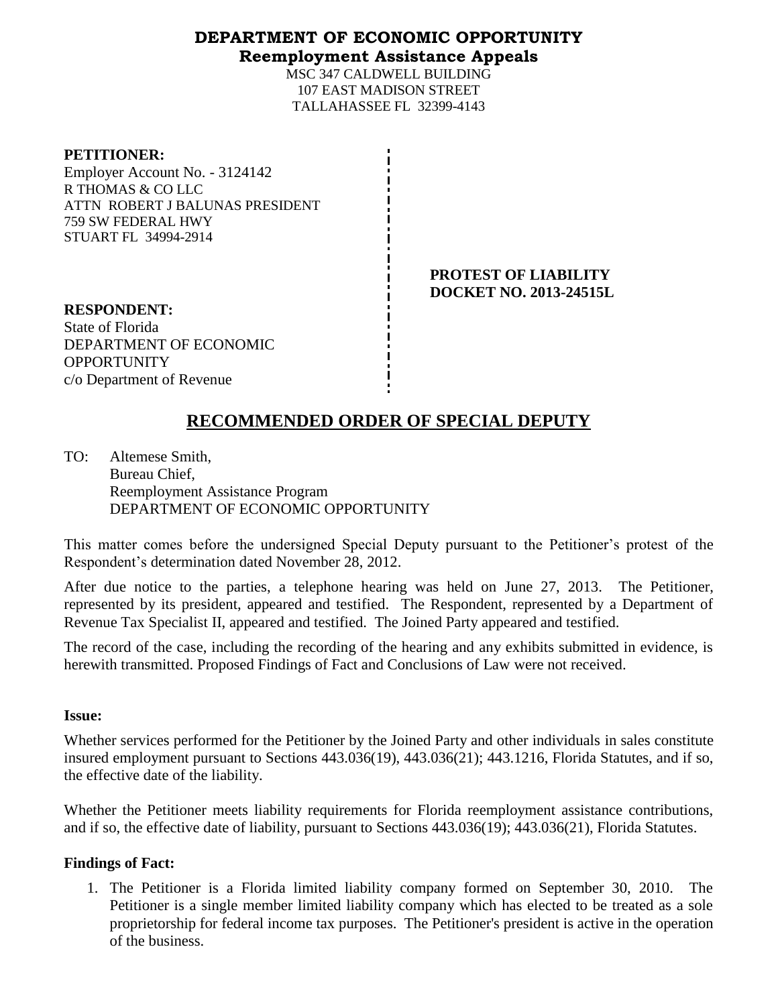## **DEPARTMENT OF ECONOMIC OPPORTUNITY Reemployment Assistance Appeals**

MSC 347 CALDWELL BUILDING 107 EAST MADISON STREET TALLAHASSEE FL 32399-4143

| <b>PETITIONER:</b> |  |
|--------------------|--|
|--------------------|--|

Employer Account No. - 3124142 R THOMAS & CO LLC ATTN ROBERT J BALUNAS PRESIDENT 759 SW FEDERAL HWY STUART FL 34994-2914

> **PROTEST OF LIABILITY DOCKET NO. 2013-24515L**

**RESPONDENT:** State of Florida DEPARTMENT OF ECONOMIC **OPPORTUNITY** c/o Department of Revenue

# **RECOMMENDED ORDER OF SPECIAL DEPUTY**

TO: Altemese Smith, Bureau Chief, Reemployment Assistance Program DEPARTMENT OF ECONOMIC OPPORTUNITY

This matter comes before the undersigned Special Deputy pursuant to the Petitioner's protest of the Respondent's determination dated November 28, 2012.

After due notice to the parties, a telephone hearing was held on June 27, 2013. The Petitioner, represented by its president, appeared and testified. The Respondent, represented by a Department of Revenue Tax Specialist II, appeared and testified. The Joined Party appeared and testified.

The record of the case, including the recording of the hearing and any exhibits submitted in evidence, is herewith transmitted. Proposed Findings of Fact and Conclusions of Law were not received.

## **Issue:**

Whether services performed for the Petitioner by the Joined Party and other individuals in sales constitute insured employment pursuant to Sections 443.036(19), 443.036(21); 443.1216, Florida Statutes, and if so, the effective date of the liability.

Whether the Petitioner meets liability requirements for Florida reemployment assistance contributions, and if so, the effective date of liability, pursuant to Sections 443.036(19); 443.036(21), Florida Statutes.

# **Findings of Fact:**

1. The Petitioner is a Florida limited liability company formed on September 30, 2010. The Petitioner is a single member limited liability company which has elected to be treated as a sole proprietorship for federal income tax purposes. The Petitioner's president is active in the operation of the business.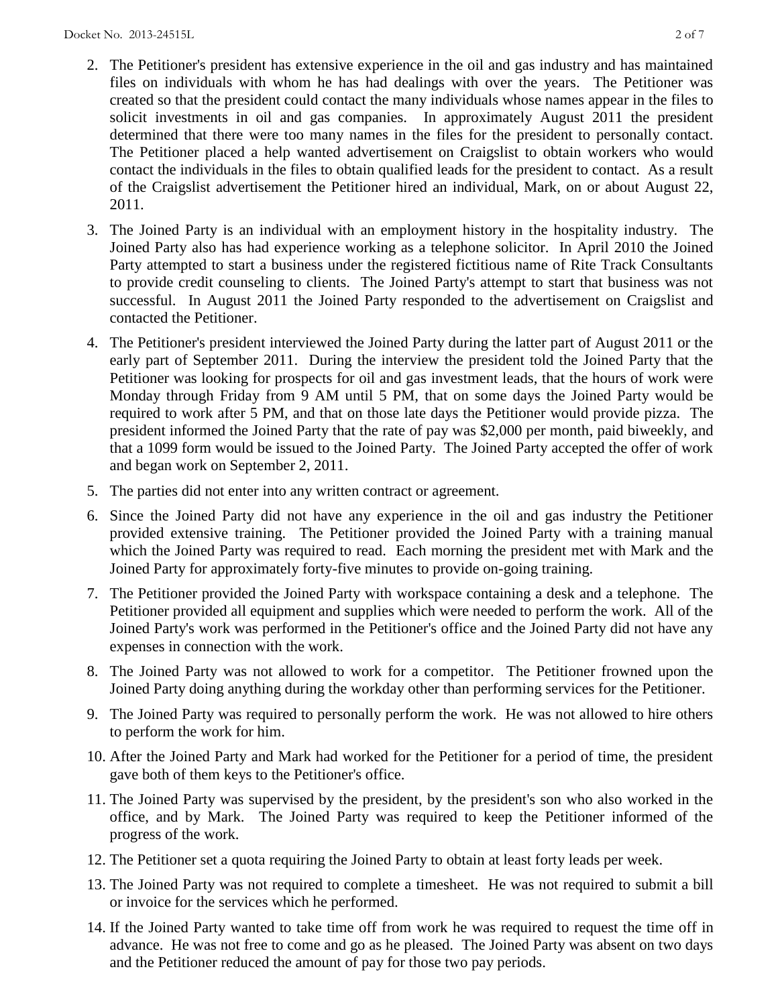- 2. The Petitioner's president has extensive experience in the oil and gas industry and has maintained files on individuals with whom he has had dealings with over the years. The Petitioner was created so that the president could contact the many individuals whose names appear in the files to solicit investments in oil and gas companies. In approximately August 2011 the president determined that there were too many names in the files for the president to personally contact. The Petitioner placed a help wanted advertisement on Craigslist to obtain workers who would contact the individuals in the files to obtain qualified leads for the president to contact. As a result of the Craigslist advertisement the Petitioner hired an individual, Mark, on or about August 22, 2011.
- 3. The Joined Party is an individual with an employment history in the hospitality industry. The Joined Party also has had experience working as a telephone solicitor. In April 2010 the Joined Party attempted to start a business under the registered fictitious name of Rite Track Consultants to provide credit counseling to clients. The Joined Party's attempt to start that business was not successful. In August 2011 the Joined Party responded to the advertisement on Craigslist and contacted the Petitioner.
- 4. The Petitioner's president interviewed the Joined Party during the latter part of August 2011 or the early part of September 2011. During the interview the president told the Joined Party that the Petitioner was looking for prospects for oil and gas investment leads, that the hours of work were Monday through Friday from 9 AM until 5 PM, that on some days the Joined Party would be required to work after 5 PM, and that on those late days the Petitioner would provide pizza. The president informed the Joined Party that the rate of pay was \$2,000 per month, paid biweekly, and that a 1099 form would be issued to the Joined Party. The Joined Party accepted the offer of work and began work on September 2, 2011.
- 5. The parties did not enter into any written contract or agreement.
- 6. Since the Joined Party did not have any experience in the oil and gas industry the Petitioner provided extensive training. The Petitioner provided the Joined Party with a training manual which the Joined Party was required to read. Each morning the president met with Mark and the Joined Party for approximately forty-five minutes to provide on-going training.
- 7. The Petitioner provided the Joined Party with workspace containing a desk and a telephone. The Petitioner provided all equipment and supplies which were needed to perform the work. All of the Joined Party's work was performed in the Petitioner's office and the Joined Party did not have any expenses in connection with the work.
- 8. The Joined Party was not allowed to work for a competitor. The Petitioner frowned upon the Joined Party doing anything during the workday other than performing services for the Petitioner.
- 9. The Joined Party was required to personally perform the work. He was not allowed to hire others to perform the work for him.
- 10. After the Joined Party and Mark had worked for the Petitioner for a period of time, the president gave both of them keys to the Petitioner's office.
- 11. The Joined Party was supervised by the president, by the president's son who also worked in the office, and by Mark. The Joined Party was required to keep the Petitioner informed of the progress of the work.
- 12. The Petitioner set a quota requiring the Joined Party to obtain at least forty leads per week.
- 13. The Joined Party was not required to complete a timesheet. He was not required to submit a bill or invoice for the services which he performed.
- 14. If the Joined Party wanted to take time off from work he was required to request the time off in advance. He was not free to come and go as he pleased. The Joined Party was absent on two days and the Petitioner reduced the amount of pay for those two pay periods.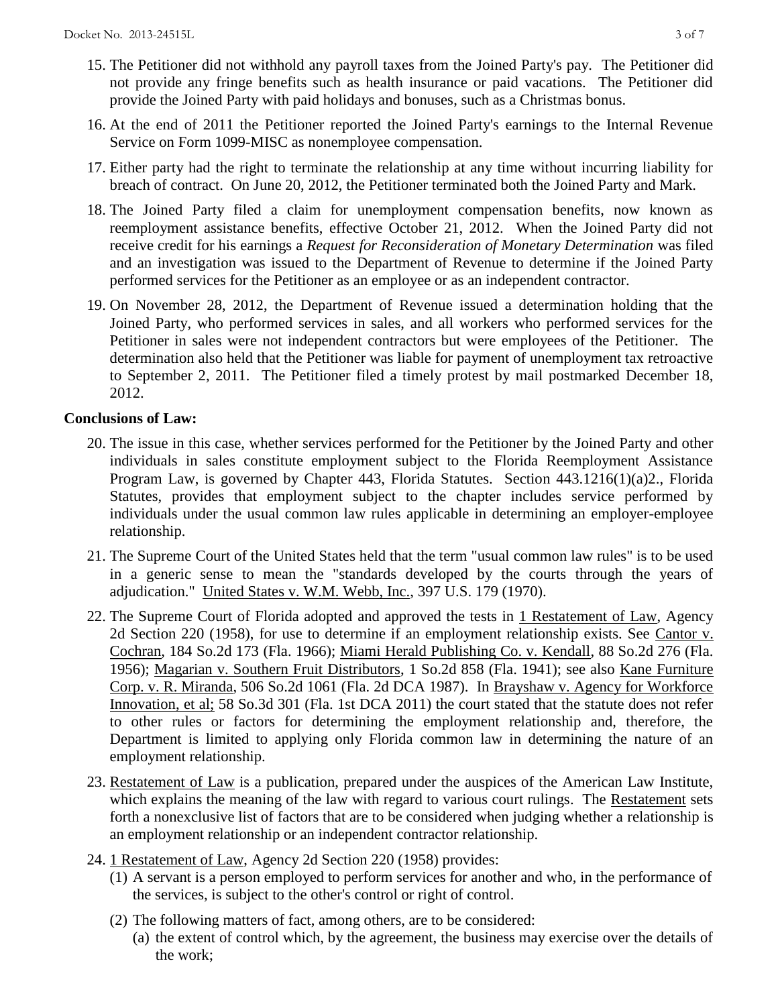- 15. The Petitioner did not withhold any payroll taxes from the Joined Party's pay. The Petitioner did not provide any fringe benefits such as health insurance or paid vacations. The Petitioner did provide the Joined Party with paid holidays and bonuses, such as a Christmas bonus.
- 16. At the end of 2011 the Petitioner reported the Joined Party's earnings to the Internal Revenue Service on Form 1099-MISC as nonemployee compensation.
- 17. Either party had the right to terminate the relationship at any time without incurring liability for breach of contract. On June 20, 2012, the Petitioner terminated both the Joined Party and Mark.
- 18. The Joined Party filed a claim for unemployment compensation benefits, now known as reemployment assistance benefits, effective October 21, 2012. When the Joined Party did not receive credit for his earnings a *Request for Reconsideration of Monetary Determination* was filed and an investigation was issued to the Department of Revenue to determine if the Joined Party performed services for the Petitioner as an employee or as an independent contractor.
- 19. On November 28, 2012, the Department of Revenue issued a determination holding that the Joined Party, who performed services in sales, and all workers who performed services for the Petitioner in sales were not independent contractors but were employees of the Petitioner. The determination also held that the Petitioner was liable for payment of unemployment tax retroactive to September 2, 2011. The Petitioner filed a timely protest by mail postmarked December 18, 2012.

# **Conclusions of Law:**

- 20. The issue in this case, whether services performed for the Petitioner by the Joined Party and other individuals in sales constitute employment subject to the Florida Reemployment Assistance Program Law, is governed by Chapter 443, Florida Statutes. Section 443.1216(1)(a)2., Florida Statutes, provides that employment subject to the chapter includes service performed by individuals under the usual common law rules applicable in determining an employer-employee relationship.
- 21. The Supreme Court of the United States held that the term "usual common law rules" is to be used in a generic sense to mean the "standards developed by the courts through the years of adjudication." United States v. W.M. Webb, Inc., 397 U.S. 179 (1970).
- 22. The Supreme Court of Florida adopted and approved the tests in 1 Restatement of Law, Agency 2d Section 220 (1958), for use to determine if an employment relationship exists. See Cantor v. Cochran, 184 So.2d 173 (Fla. 1966); Miami Herald Publishing Co. v. Kendall, 88 So.2d 276 (Fla. 1956); Magarian v. Southern Fruit Distributors, 1 So.2d 858 (Fla. 1941); see also Kane Furniture Corp. v. R. Miranda, 506 So.2d 1061 (Fla. 2d DCA 1987). In Brayshaw v. Agency for Workforce Innovation, et al; 58 So.3d 301 (Fla. 1st DCA 2011) the court stated that the statute does not refer to other rules or factors for determining the employment relationship and, therefore, the Department is limited to applying only Florida common law in determining the nature of an employment relationship.
- 23. Restatement of Law is a publication, prepared under the auspices of the American Law Institute, which explains the meaning of the law with regard to various court rulings. The Restatement sets forth a nonexclusive list of factors that are to be considered when judging whether a relationship is an employment relationship or an independent contractor relationship.
- 24. 1 Restatement of Law, Agency 2d Section 220 (1958) provides:
	- (1) A servant is a person employed to perform services for another and who, in the performance of the services, is subject to the other's control or right of control.
	- (2) The following matters of fact, among others, are to be considered: (a) the extent of control which, by the agreement, the business may exercise over the details of the work;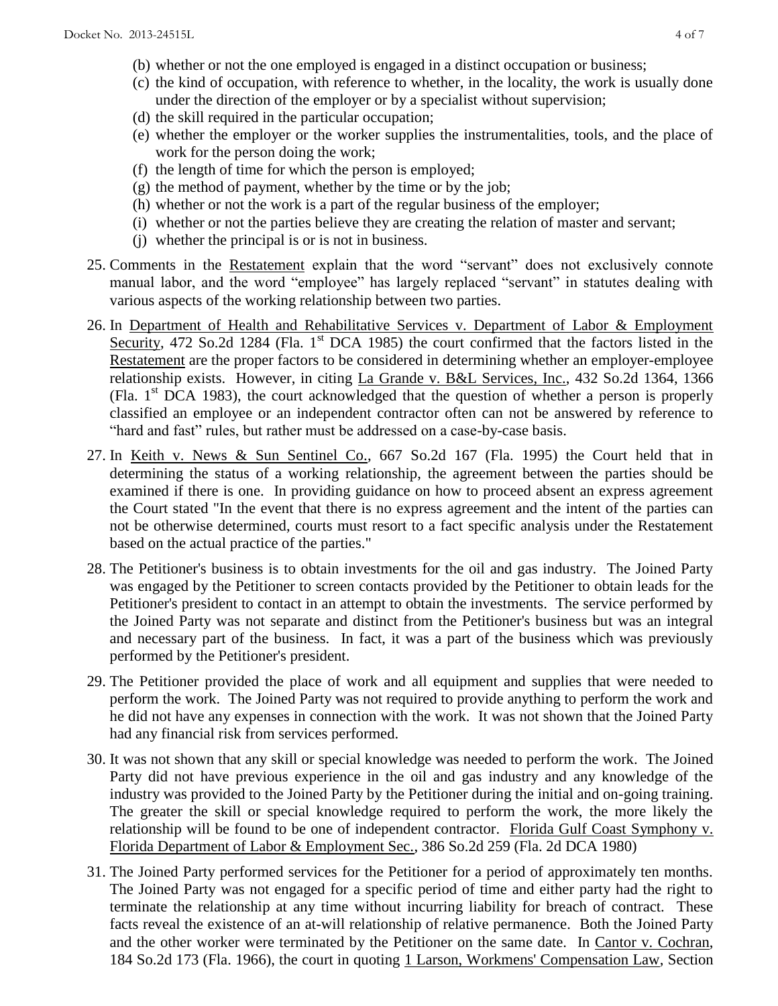- (b) whether or not the one employed is engaged in a distinct occupation or business;
- (c) the kind of occupation, with reference to whether, in the locality, the work is usually done under the direction of the employer or by a specialist without supervision;
- (d) the skill required in the particular occupation;
- (e) whether the employer or the worker supplies the instrumentalities, tools, and the place of work for the person doing the work;
- (f) the length of time for which the person is employed;
- (g) the method of payment, whether by the time or by the job;
- (h) whether or not the work is a part of the regular business of the employer;
- (i) whether or not the parties believe they are creating the relation of master and servant;
- (j) whether the principal is or is not in business.
- 25. Comments in the Restatement explain that the word "servant" does not exclusively connote manual labor, and the word "employee" has largely replaced "servant" in statutes dealing with various aspects of the working relationship between two parties.
- 26. In Department of Health and Rehabilitative Services v. Department of Labor & Employment Security, 472 So.2d 1284 (Fla. 1<sup>st</sup> DCA 1985) the court confirmed that the factors listed in the Restatement are the proper factors to be considered in determining whether an employer-employee relationship exists. However, in citing La Grande v. B&L Services, Inc., 432 So.2d 1364, 1366 (Fla.  $1<sup>st</sup>$  DCA 1983), the court acknowledged that the question of whether a person is properly classified an employee or an independent contractor often can not be answered by reference to "hard and fast" rules, but rather must be addressed on a case-by-case basis.
- 27. In Keith v. News & Sun Sentinel Co., 667 So.2d 167 (Fla. 1995) the Court held that in determining the status of a working relationship, the agreement between the parties should be examined if there is one. In providing guidance on how to proceed absent an express agreement the Court stated "In the event that there is no express agreement and the intent of the parties can not be otherwise determined, courts must resort to a fact specific analysis under the Restatement based on the actual practice of the parties."
- 28. The Petitioner's business is to obtain investments for the oil and gas industry. The Joined Party was engaged by the Petitioner to screen contacts provided by the Petitioner to obtain leads for the Petitioner's president to contact in an attempt to obtain the investments. The service performed by the Joined Party was not separate and distinct from the Petitioner's business but was an integral and necessary part of the business. In fact, it was a part of the business which was previously performed by the Petitioner's president.
- 29. The Petitioner provided the place of work and all equipment and supplies that were needed to perform the work. The Joined Party was not required to provide anything to perform the work and he did not have any expenses in connection with the work. It was not shown that the Joined Party had any financial risk from services performed.
- 30. It was not shown that any skill or special knowledge was needed to perform the work. The Joined Party did not have previous experience in the oil and gas industry and any knowledge of the industry was provided to the Joined Party by the Petitioner during the initial and on-going training. The greater the skill or special knowledge required to perform the work, the more likely the relationship will be found to be one of independent contractor. Florida Gulf Coast Symphony v. Florida Department of Labor & Employment Sec., 386 So.2d 259 (Fla. 2d DCA 1980)
- 31. The Joined Party performed services for the Petitioner for a period of approximately ten months. The Joined Party was not engaged for a specific period of time and either party had the right to terminate the relationship at any time without incurring liability for breach of contract. These facts reveal the existence of an at-will relationship of relative permanence. Both the Joined Party and the other worker were terminated by the Petitioner on the same date. In Cantor v. Cochran, 184 So.2d 173 (Fla. 1966), the court in quoting 1 Larson, Workmens' Compensation Law, Section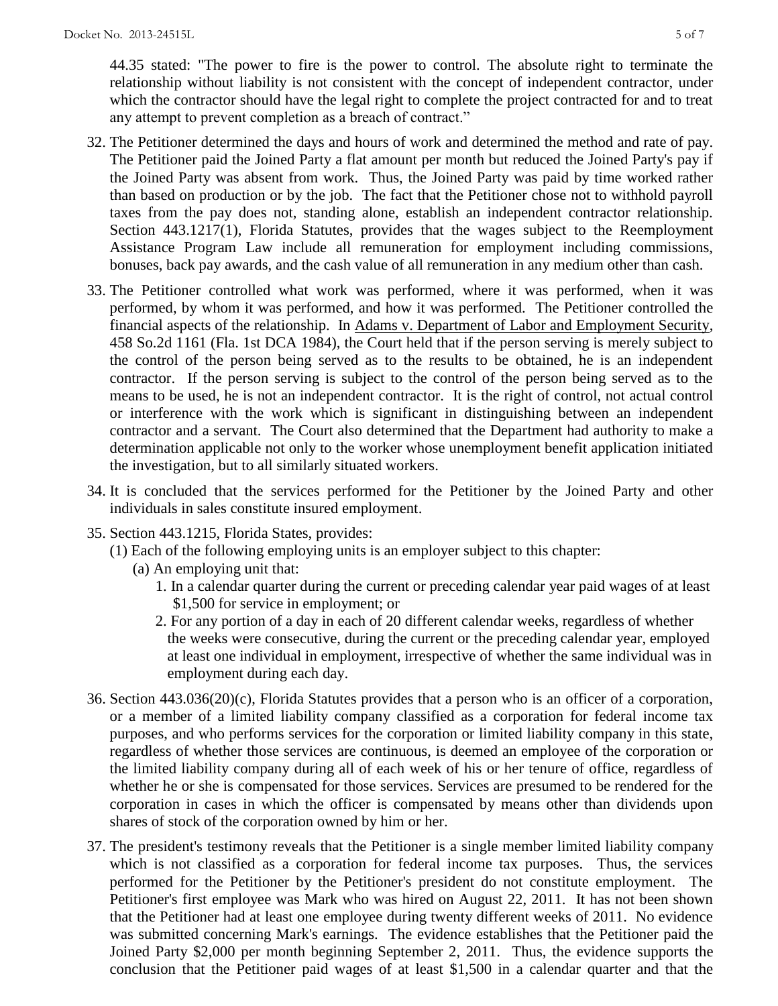44.35 stated: "The power to fire is the power to control. The absolute right to terminate the relationship without liability is not consistent with the concept of independent contractor, under which the contractor should have the legal right to complete the project contracted for and to treat any attempt to prevent completion as a breach of contract."

- 32. The Petitioner determined the days and hours of work and determined the method and rate of pay. The Petitioner paid the Joined Party a flat amount per month but reduced the Joined Party's pay if the Joined Party was absent from work. Thus, the Joined Party was paid by time worked rather than based on production or by the job. The fact that the Petitioner chose not to withhold payroll taxes from the pay does not, standing alone, establish an independent contractor relationship. Section 443.1217(1), Florida Statutes, provides that the wages subject to the Reemployment Assistance Program Law include all remuneration for employment including commissions, bonuses, back pay awards, and the cash value of all remuneration in any medium other than cash.
- 33. The Petitioner controlled what work was performed, where it was performed, when it was performed, by whom it was performed, and how it was performed. The Petitioner controlled the financial aspects of the relationship. In Adams v. Department of Labor and Employment Security, 458 So.2d 1161 (Fla. 1st DCA 1984), the Court held that if the person serving is merely subject to the control of the person being served as to the results to be obtained, he is an independent contractor. If the person serving is subject to the control of the person being served as to the means to be used, he is not an independent contractor. It is the right of control, not actual control or interference with the work which is significant in distinguishing between an independent contractor and a servant. The Court also determined that the Department had authority to make a determination applicable not only to the worker whose unemployment benefit application initiated the investigation, but to all similarly situated workers.
- 34. It is concluded that the services performed for the Petitioner by the Joined Party and other individuals in sales constitute insured employment.
- 35. Section 443.1215, Florida States, provides:
	- (1) Each of the following employing units is an employer subject to this chapter:
		- (a) An employing unit that:
			- 1. In a calendar quarter during the current or preceding calendar year paid wages of at least \$1,500 for service in employment; or
			- 2. For any portion of a day in each of 20 different calendar weeks, regardless of whether the weeks were consecutive, during the current or the preceding calendar year, employed at least one individual in employment, irrespective of whether the same individual was in employment during each day.
- 36. Section 443.036(20)(c), Florida Statutes provides that a person who is an officer of a corporation, or a member of a limited liability company classified as a corporation for federal income tax purposes, and who performs services for the corporation or limited liability company in this state, regardless of whether those services are continuous, is deemed an employee of the corporation or the limited liability company during all of each week of his or her tenure of office, regardless of whether he or she is compensated for those services. Services are presumed to be rendered for the corporation in cases in which the officer is compensated by means other than dividends upon shares of stock of the corporation owned by him or her.
- 37. The president's testimony reveals that the Petitioner is a single member limited liability company which is not classified as a corporation for federal income tax purposes. Thus, the services performed for the Petitioner by the Petitioner's president do not constitute employment. The Petitioner's first employee was Mark who was hired on August 22, 2011. It has not been shown that the Petitioner had at least one employee during twenty different weeks of 2011. No evidence was submitted concerning Mark's earnings. The evidence establishes that the Petitioner paid the Joined Party \$2,000 per month beginning September 2, 2011. Thus, the evidence supports the conclusion that the Petitioner paid wages of at least \$1,500 in a calendar quarter and that the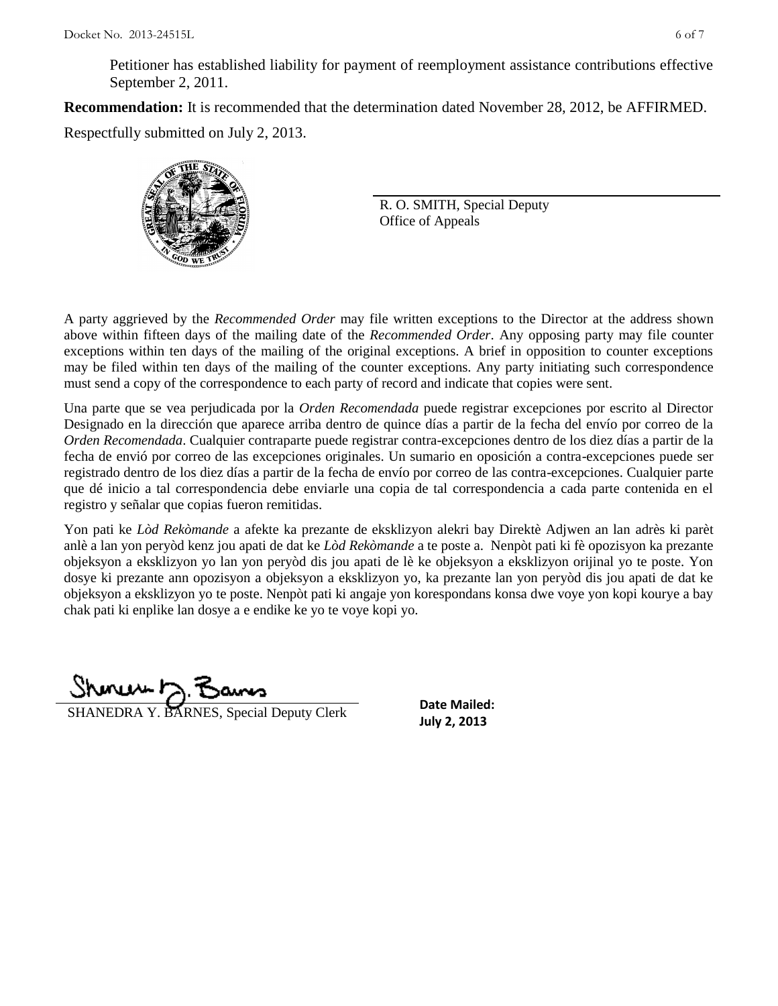Petitioner has established liability for payment of reemployment assistance contributions effective September 2, 2011.

**Recommendation:** It is recommended that the determination dated November 28, 2012, be AFFIRMED. Respectfully submitted on July 2, 2013.



R. O. SMITH, Special Deputy Office of Appeals

A party aggrieved by the *Recommended Order* may file written exceptions to the Director at the address shown above within fifteen days of the mailing date of the *Recommended Order*. Any opposing party may file counter exceptions within ten days of the mailing of the original exceptions. A brief in opposition to counter exceptions may be filed within ten days of the mailing of the counter exceptions. Any party initiating such correspondence must send a copy of the correspondence to each party of record and indicate that copies were sent.

Una parte que se vea perjudicada por la *Orden Recomendada* puede registrar excepciones por escrito al Director Designado en la dirección que aparece arriba dentro de quince días a partir de la fecha del envío por correo de la *Orden Recomendada*. Cualquier contraparte puede registrar contra-excepciones dentro de los diez días a partir de la fecha de envió por correo de las excepciones originales. Un sumario en oposición a contra-excepciones puede ser registrado dentro de los diez días a partir de la fecha de envío por correo de las contra-excepciones. Cualquier parte que dé inicio a tal correspondencia debe enviarle una copia de tal correspondencia a cada parte contenida en el registro y señalar que copias fueron remitidas.

Yon pati ke *Lòd Rekòmande* a afekte ka prezante de eksklizyon alekri bay Direktè Adjwen an lan adrès ki parèt anlè a lan yon peryòd kenz jou apati de dat ke *Lòd Rekòmande* a te poste a. Nenpòt pati ki fè opozisyon ka prezante objeksyon a eksklizyon yo lan yon peryòd dis jou apati de lè ke objeksyon a eksklizyon orijinal yo te poste. Yon dosye ki prezante ann opozisyon a objeksyon a eksklizyon yo, ka prezante lan yon peryòd dis jou apati de dat ke objeksyon a eksklizyon yo te poste. Nenpòt pati ki angaje yon korespondans konsa dwe voye yon kopi kourye a bay chak pati ki enplike lan dosye a e endike ke yo te voye kopi yo.

Shinuu h.F

**July 2, 2013** SHANEDRA Y. BARNES, Special Deputy Clerk

**Date Mailed:**